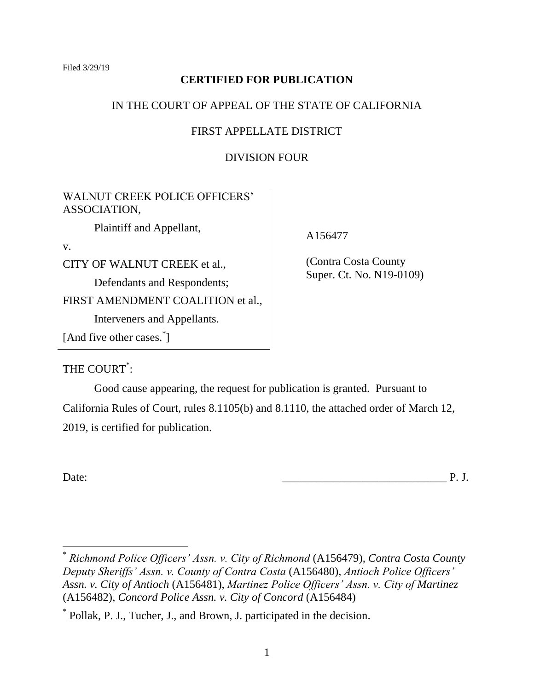Filed 3/29/19

## **CERTIFIED FOR PUBLICATION**

## IN THE COURT OF APPEAL OF THE STATE OF CALIFORNIA

## FIRST APPELLATE DISTRICT

# DIVISION FOUR

WALNUT CREEK POLICE OFFICERS' ASSOCIATION,

Plaintiff and Appellant,

v.

CITY OF WALNUT CREEK et al.,

Defendants and Respondents;

FIRST AMENDMENT COALITION et al.,

Interveners and Appellants.

[And five other cases.<sup>\*</sup>]

A156477

(Contra Costa County Super. Ct. No. N19-0109)

THE COURT<sup>\*</sup>:

Good cause appearing, the request for publication is granted. Pursuant to California Rules of Court, rules 8.1105(b) and 8.1110, the attached order of March 12, 2019, is certified for publication.

Date: 2008. The contract of the contract of the contract of the contract of the contract of the contract of the contract of the contract of the contract of the contract of the contract of the contract of the contract of th

<sup>\*</sup> *Richmond Police Officers' Assn. v. City of Richmond* (A156479), *Contra Costa County Deputy Sheriffs' Assn. v. County of Contra Costa* (A156480), *Antioch Police Officers' Assn. v. City of Antioch* (A156481), *Martinez Police Officers' Assn. v. City of Martinez*  (A156482), *Concord Police Assn. v. City of Concord* (A156484)

<sup>\*</sup> Pollak, P. J., Tucher, J., and Brown, J. participated in the decision.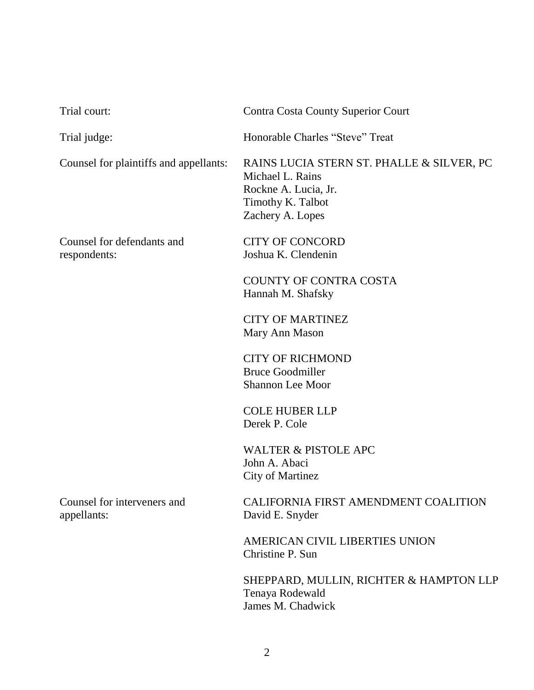| Trial court:                               | <b>Contra Costa County Superior Court</b>                                                                                      |
|--------------------------------------------|--------------------------------------------------------------------------------------------------------------------------------|
| Trial judge:                               | Honorable Charles "Steve" Treat                                                                                                |
| Counsel for plaintiffs and appellants:     | RAINS LUCIA STERN ST. PHALLE & SILVER, PC<br>Michael L. Rains<br>Rockne A. Lucia, Jr.<br>Timothy K. Talbot<br>Zachery A. Lopes |
| Counsel for defendants and<br>respondents: | <b>CITY OF CONCORD</b><br>Joshua K. Clendenin                                                                                  |
|                                            | <b>COUNTY OF CONTRA COSTA</b><br>Hannah M. Shafsky                                                                             |
|                                            | <b>CITY OF MARTINEZ</b><br>Mary Ann Mason                                                                                      |
|                                            | <b>CITY OF RICHMOND</b><br><b>Bruce Goodmiller</b><br><b>Shannon Lee Moor</b>                                                  |
|                                            | <b>COLE HUBER LLP</b><br>Derek P. Cole                                                                                         |
|                                            | <b>WALTER &amp; PISTOLE APC</b><br>John A. Abaci<br><b>City of Martinez</b>                                                    |
| Counsel for interveners and<br>appellants: | CALIFORNIA FIRST AMENDMENT COALITION<br>David E. Snyder                                                                        |
|                                            | AMERICAN CIVIL LIBERTIES UNION<br>Christine P. Sun                                                                             |
|                                            | CHEDDADD MHILLINI DICHTED & HAMDTONLLD                                                                                         |

SHEPPARD, MULLIN, RICHTER & HAMPTON LLP Tenaya Rodewald James M. Chadwick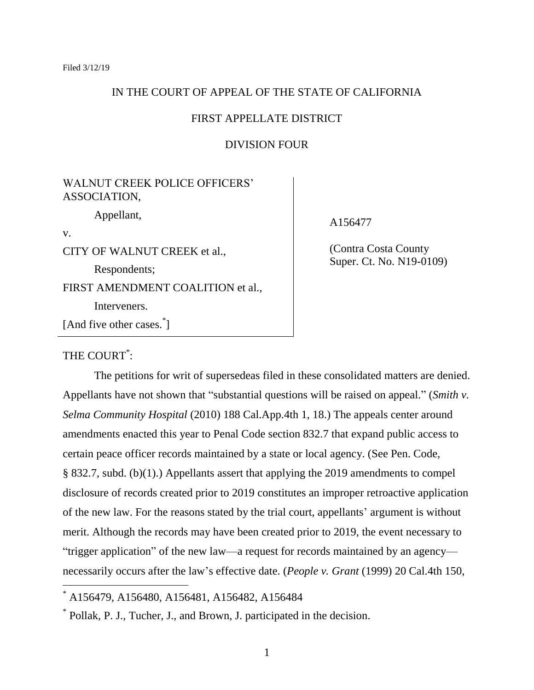### IN THE COURT OF APPEAL OF THE STATE OF CALIFORNIA

#### FIRST APPELLATE DISTRICT

## DIVISION FOUR

# WALNUT CREEK POLICE OFFICERS' ASSOCIATION, Appellant,

v.

 $\overline{a}$ 

CITY OF WALNUT CREEK et al., Respondents; FIRST AMENDMENT COALITION et al., Interveners. [And five other cases.<sup>\*</sup>]

### A156477

(Contra Costa County Super. Ct. No. N19-0109)

# THE COURT<sup>\*</sup>:

The petitions for writ of supersedeas filed in these consolidated matters are denied. Appellants have not shown that "substantial questions will be raised on appeal." (*Smith v. Selma Community Hospital* (2010) 188 Cal.App.4th 1, 18.) The appeals center around amendments enacted this year to Penal Code section 832.7 that expand public access to certain peace officer records maintained by a state or local agency. (See Pen. Code, § 832.7, subd. (b)(1).) Appellants assert that applying the 2019 amendments to compel disclosure of records created prior to 2019 constitutes an improper retroactive application of the new law. For the reasons stated by the trial court, appellants' argument is without merit. Although the records may have been created prior to 2019, the event necessary to "trigger application" of the new law—a request for records maintained by an agency necessarily occurs after the law's effective date. (*People v. Grant* (1999) 20 Cal.4th 150,

A156479, A156480, A156481, A156482, A156484

\* Pollak, P. J., Tucher, J., and Brown, J. participated in the decision.